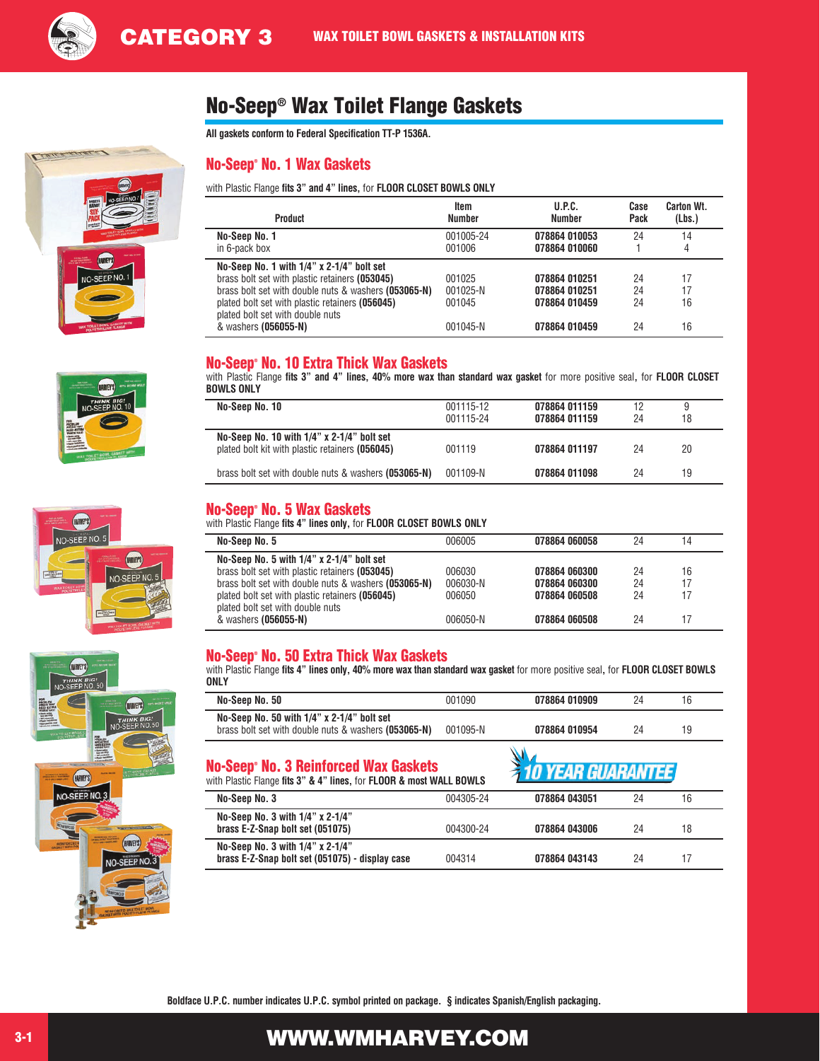

# No-Seep® Wax Toilet Flange Gaskets

**All gaskets conform to Federal Specification TT-P 1536A.** 

## No-Seep® No. 1 Wax Gaskets

with Plastic Flange **fits 3" and 4" lines,** for **FLOOR CLOSET BOWLS ONLY**

| <b>Product</b>                                                                                                                                                                                                                             | Item                         | U.P.C.                                          | Case           | <b>Carton Wt.</b> |
|--------------------------------------------------------------------------------------------------------------------------------------------------------------------------------------------------------------------------------------------|------------------------------|-------------------------------------------------|----------------|-------------------|
|                                                                                                                                                                                                                                            | <b>Number</b>                | <b>Number</b>                                   | Pack           | (Lbs.)            |
| No-Seep No. 1                                                                                                                                                                                                                              | 001005-24                    | 078864 010053                                   | 24             | 14                |
| in 6-pack box                                                                                                                                                                                                                              | 001006                       | 078864 010060                                   |                | 4                 |
| No-Seep No. 1 with 1/4" x 2-1/4" bolt set<br>brass bolt set with plastic retainers (053045)<br>brass bolt set with double nuts & washers (053065-N)<br>plated bolt set with plastic retainers (056045)<br>plated bolt set with double nuts | 001025<br>001025-N<br>001045 | 078864 010251<br>078864 010251<br>078864 010459 | 24<br>24<br>24 | 17<br>17<br>16    |
| & washers (056055-N)                                                                                                                                                                                                                       | 001045-N                     | 078864 010459                                   | 24             | 16                |

### No-Seep® No. 10 Extra Thick Wax Gaskets

with Plastic Flange **fits 3" and 4" lines, 40% more wax than standard wax gasket** for more positive seal**,** for **FLOOR CLOSET BOWLS ONLY**

| No-Seep No. 10                                                                                | 001115-12<br>001115-24 | 078864 011159<br>078864 011159 | 12<br>24 | 9<br>18 |
|-----------------------------------------------------------------------------------------------|------------------------|--------------------------------|----------|---------|
| No-Seep No. 10 with 1/4" x 2-1/4" bolt set<br>plated bolt kit with plastic retainers (056045) | 001119                 | 078864 011197                  | 24       | 20      |
| brass bolt set with double nuts & washers (053065-N)                                          | 001109-N               | 078864 011098                  | 24       | 19      |

### No-Seep® No. 5 Wax Gaskets

with Plastic Flange **fits 4" lines only,** for **FLOOR CLOSET BOWLS ONLY**

| No-Seep No. 5                                        | 006005   | 078864 060058 | 24 | 14 |
|------------------------------------------------------|----------|---------------|----|----|
| No-Seep No. 5 with $1/4$ " x 2-1/4" bolt set         |          |               |    |    |
| brass bolt set with plastic retainers (053045)       | 006030   | 078864 060300 | 24 | 16 |
| brass bolt set with double nuts & washers (053065-N) | 006030-N | 078864 060300 | 24 | 17 |
| plated bolt set with plastic retainers (056045)      | 006050   | 078864 060508 | 24 | 17 |
| plated bolt set with double nuts                     |          |               |    |    |
| & washers (056055-N)                                 | 006050-N | 078864 060508 | 24 | 17 |
|                                                      |          |               |    |    |

### No-Seep® No. 50 Extra Thick Wax Gaskets

with Plastic Flange **fits 4" lines only, 40% more wax than standard wax gasket** for more positive seal**,** for **FLOOR CLOSET BOWLS ONLY**

| No-Seep No. 50                                                                                     | 001090   | 078864 010909 | 24 | 16 |
|----------------------------------------------------------------------------------------------------|----------|---------------|----|----|
| No-Seep No. 50 with 1/4" x 2-1/4" bolt set<br>brass bolt set with double nuts & washers (053065-N) | 001095-N | 078864 010954 | 24 | 19 |

### No-Seep® No. 3 Reinforced Wax Gaskets

| with Plastic Flange fits 3" & 4" lines, for FLOOR & most WALL BOWLS                 |           | и то т <i>ели ословл</i> ител. |    |    |  |
|-------------------------------------------------------------------------------------|-----------|--------------------------------|----|----|--|
| No-Seep No. 3                                                                       | 004305-24 | 078864 043051                  | 24 | 16 |  |
| No-Seep No. 3 with 1/4" x 2-1/4"<br>brass E-Z-Snap bolt set (051075)                | 004300-24 | 078864 043006                  | 24 | 18 |  |
| No-Seep No. 3 with 1/4" x 2-1/4"<br>brass E-Z-Snap bolt set (051075) - display case | 004314    | 078864 043143                  | 24 | 17 |  |

**FAR CHARANTEE** 

**Boldface U.P.C. number indicates U.P.C. symbol printed on package. § indicates Spanish/English packaging.**







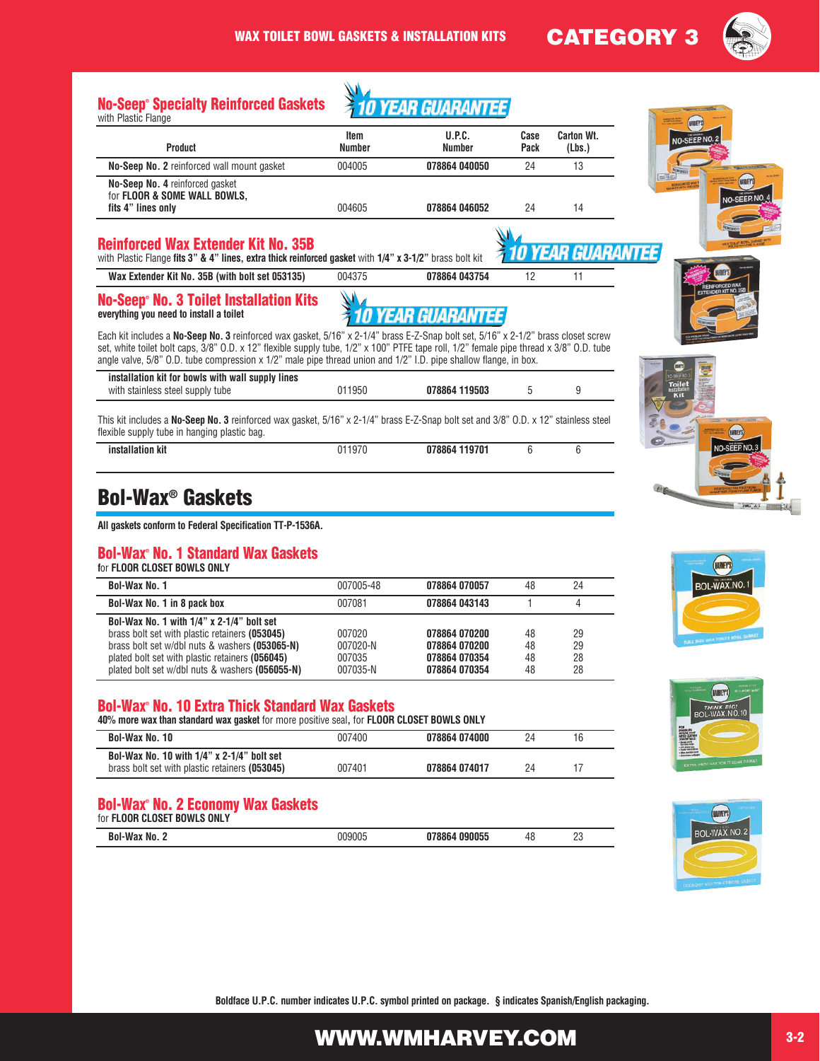



# Bol-Wax® Gaskets

**All gaskets conform to Federal Specification TT-P-1536A.**

#### Bol-Wax® No. 1 Standard Wax Gaskets

**f**or **FLOOR CLOSET BOWLS ONLY**

| Bol-Wax No. 1                                                                                                                                                                                                                                          | 007005-48                                | 078864 070057                                                    | 48                   | 24                   |
|--------------------------------------------------------------------------------------------------------------------------------------------------------------------------------------------------------------------------------------------------------|------------------------------------------|------------------------------------------------------------------|----------------------|----------------------|
| Bol-Wax No. 1 in 8 pack box                                                                                                                                                                                                                            | 007081                                   | 078864 043143                                                    |                      |                      |
| Bol-Wax No. 1 with $1/4$ " x 2-1/4" bolt set<br>brass bolt set with plastic retainers (053045)<br>brass bolt set w/dbl nuts & washers (053065-N)<br>plated bolt set with plastic retainers (056045)<br>plated bolt set w/dbl nuts & washers (056055-N) | 007020<br>007020-N<br>007035<br>007035-N | 078864 070200<br>078864 070200<br>078864 070354<br>078864 070354 | 48<br>48<br>48<br>48 | 29<br>29<br>28<br>28 |

#### Bol-Wax® No. 10 Extra Thick Standard Wax Gaskets

| 40% more wax than standard wax gasket for more positive seal, for FLOOR CLOSET BOWLS ONLY       |        |               |    |  |
|-------------------------------------------------------------------------------------------------|--------|---------------|----|--|
| Bol-Wax No. 10                                                                                  | 007400 | 078864 074000 | 24 |  |
| Bol-Wax No. 10 with $1/4$ " x 2-1/4" bolt set<br>brass bolt set with plastic retainers (053045) | 007401 | 078864 074017 | 24 |  |

#### Bol-Wax® No. 2 Economy Wax Gaskets for **FLOOR CLOSET BOWLS ONLY**

| TOF FLUUK LLUSET BUWLS UNLY |     |    |        |  |
|-----------------------------|-----|----|--------|--|
| D,<br>Nn                    | mai | 4č | o<br>້ |  |









**Boldface U.P.C. number indicates U.P.C. symbol printed on package. § indicates Spanish/English packaging.**